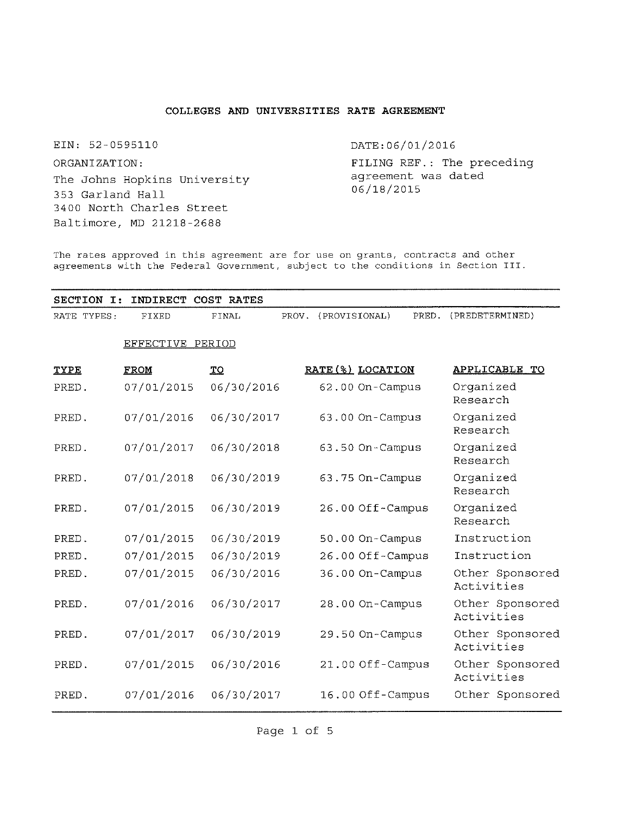# **COLLEGES AND UNIVERSITIES RATE AGREEMENT**

EIN: 52-0595110

ORGANIZATION:

The Johns Hopkins University 353 Garland Hall 3400 North Charles Street Baltimore, MD 21218-2688

DATE:06/01/2016

FILING REF.: The preceding agreement was dated 06/18/2015

The rates approved in this agreement are for use on grants, contracts and other agreements with the Federal Government, subject to the conditions in Section III.

| <b>SECTION</b><br>$\mathbf{T}$ : | INDIRECT         | COST RATES |                        |                   |                               |
|----------------------------------|------------------|------------|------------------------|-------------------|-------------------------------|
| RATE TYPES:                      | FIXED            | FINAL      | (PROVISIONAL)<br>PROV. | PRED.             | (PREDETERMINED)               |
|                                  | EFFECTIVE PERIOD |            |                        |                   |                               |
| <b>TYPE</b>                      | FROM             | TO         |                        | RATE (%) LOCATION | <b>APPLICABLE</b><br>TО       |
| PRED.                            | 07/01/2015       | 06/30/2016 |                        | 62.00 On-Campus   | Organized<br>Research         |
| PRED.                            | 07/01/2016       | 06/30/2017 |                        | 63.00 On-Campus   | Organized<br>Research         |
| PRED.                            | 07/01/2017       | 06/30/2018 |                        | 63.50 On-Campus   | Organized<br>Research         |
| PRED.                            | 07/01/2018       | 06/30/2019 |                        | 63.75 On-Campus   | Organized<br>Research         |
| PRED.                            | 07/01/2015       | 06/30/2019 |                        | 26.00 Off-Campus  | Organized<br>Research         |
| PRED.                            | 07/01/2015       | 06/30/2019 |                        | 50.00 On-Campus   | Instruction                   |
| PRED.                            | 07/01/2015       | 06/30/2019 |                        | 26.00 Off-Campus  | Instruction                   |
| PRED.                            | 07/01/2015       | 06/30/2016 |                        | 36.00 On-Campus   | Other Sponsored<br>Activities |
| PRED.                            | 07/01/2016       | 06/30/2017 |                        | 28.00 On-Campus   | Other Sponsored<br>Activities |
| PRED.                            | 07/01/2017       | 06/30/2019 |                        | 29.50 On-Campus   | Other Sponsored<br>Activities |
| PRED.                            | 07/01/2015       | 06/30/2016 |                        | 21.00 Off-Campus  | Other Sponsored<br>Activities |
| PRED.                            | 07/01/2016       | 06/30/2017 |                        | 16.00 Off-Campus  | Other Sponsored               |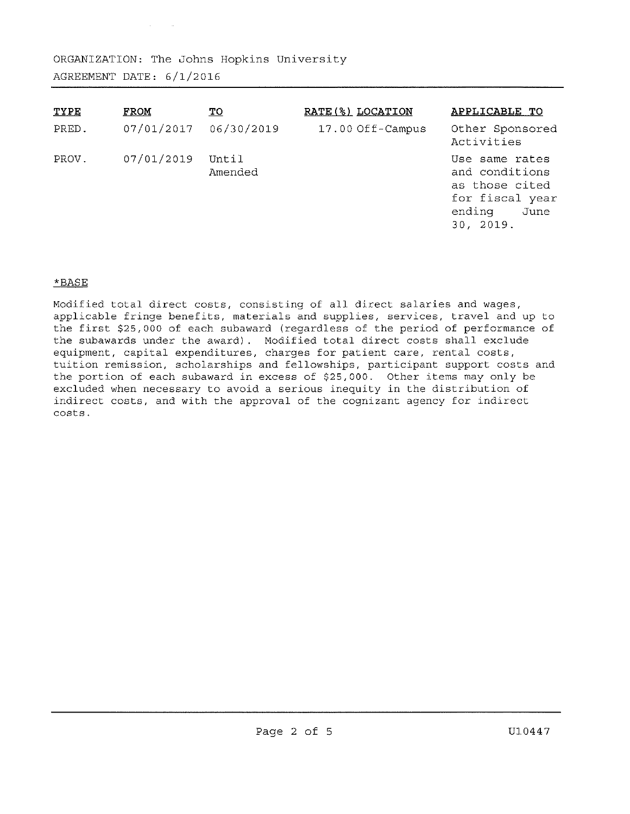| TYPE  | <b>FROM</b> | <u>TO</u>        | RATE (%) LOCATION | APPLICABLE TO                                                                                        |
|-------|-------------|------------------|-------------------|------------------------------------------------------------------------------------------------------|
| PRED. | 07/01/2017  | 06/30/2019       | 17.00 Off-Campus  | Other Sponsored<br>Activities                                                                        |
| PROV. | 07/01/2019  | Until<br>Amended |                   | Use same rates<br>and conditions<br>as those cited<br>for fiscal year<br>ending<br>June<br>30, 2019. |

# \*BASE

Modified total direct costs, consisting of all direct salaries and wages, applicable fringe benefits, materials and supplies, services, travel and up to the first \$25,000 of each subaward (regardless of the period of performance of the subawards under the award). Modified total direct costs shall exclude equipment, capital expenditures, charges for patient care, rental costs, tuition remission, scholarships and fellowships, participant support costs and the portion of each subaward in excess of \$25, 000. Other items may only be excluded when necessary to avoid a serious inequity in the distribution of indirect costs, and with the approval of the cognizant agency for indirect costs.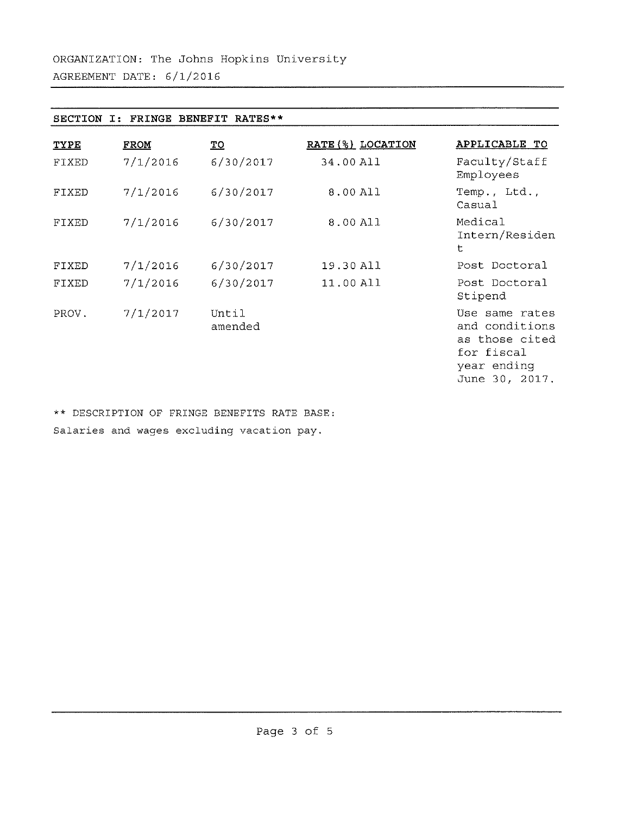| <b>SECTION</b> | <b>FRINGE</b> | <b>BENEFIT</b><br>RATES** |                   |                                                                                                   |
|----------------|---------------|---------------------------|-------------------|---------------------------------------------------------------------------------------------------|
| <b>TYPE</b>    | <b>FROM</b>   | <u>TO</u>                 | RATE (%) LOCATION | APPLICABLE TO                                                                                     |
| FIXED          | 7/1/2016      | 6/30/2017                 | 34.00 All         | Faculty/Staff<br>Employees                                                                        |
| FIXED          | 7/1/2016      | 6/30/2017                 | 8.00 All          | Temp., Ltd.,<br>Casual                                                                            |
| FIXED          | 7/1/2016      | 6/30/2017                 | 8.00 All          | Medical<br>Intern/Residen<br>t                                                                    |
| FIXED          | 7/1/2016      | 6/30/2017                 | 19.30 All         | Post Doctoral                                                                                     |
| FIXED          | 7/1/2016      | 6/30/2017                 | 11.00 All         | Post Doctoral<br>Stipend                                                                          |
| PROV.          | 7/1/2017      | Until<br>amended          |                   | Use same rates<br>and conditions<br>as those cited<br>for fiscal<br>year ending<br>June 30, 2017. |

\*\* DESCRIPTION OF FRINGE BENEFITS RATE BASE: Salaries and wages excluding vacation pay.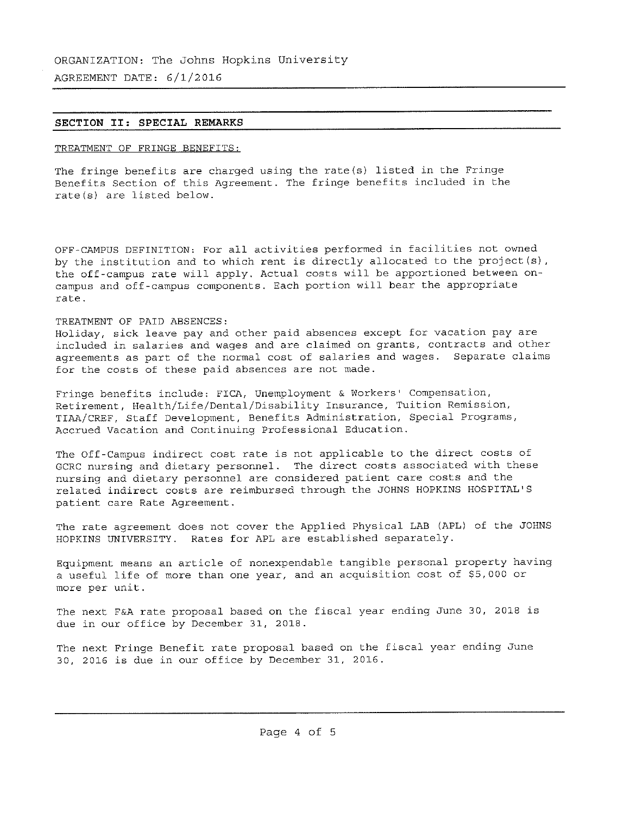AGREEMENT DATE: 6/1/2016

### **SECTION II: SPECIAL REMARKS**

# TREATMENT OF FRINGE BENEFITS:

The fringe benefits are charged using the rate(s) listed in the Fringe Benefits Section of this Agreement. The fringe benefits included in the rate(s) are listed below.

OFF-CAMPUS DEFINITION: For all activities performed in facilities not owned by the institution and to which rent is directly allocated to the project(s), the off-campus rate will apply. Actual costs will be apportioned between oncampus and off-campus components. Each portion will bear the appropriate rate.

# TREATMENT OF PAID ABSENCES:

Holiday, sick leave pay and other paid absences except for vacation pay are included in salaries and wages and are claimed on grants, contracts and other agreements as part of the normal cost of salaries and wages. Separate claims for the costs of these paid absences are not made.

Fringe benefits include: FICA, Unemployment & Workers' Compensation, Retirement, Health/Life/Dental/Disability Insurance, Tuition Remission, TIAA/CREF, Staff Development, Benefits Administration, Special Programs, Accrued Vacation and Continuing Professional Education.

The Off- Campus indirect cost rate is not applicable to the direct costs of GCRC nursing and dietary personnel. The direct costs associated with these nursing and dietary personnel are considered patient care costs and the related indirect costs are reimbursed through the JOHNS HOPKINS HOSPITAL'<sup>S</sup> patient care Rate Agreement.

The rate agreement does not cover the Applied Physical LAB (APL) of the JOHNS HOPKINS UNIVERSITY. Rates for APL are established separately.

Equipment means an article of nonexpendable tangible personal property having <sup>a</sup> useful life of more than one year, and an acquisition cost of \$5, <sup>000</sup> or more per unit.

The next <sup>F</sup>&<sup>A</sup> rate proposal based on the fiscal year ending June 30, <sup>2018</sup> is due in our office by December 31, 2018.

The next Fringe Benefit rate proposal based on the fiscal year ending June 30, <sup>2016</sup> is due in our office by December 31, 2016.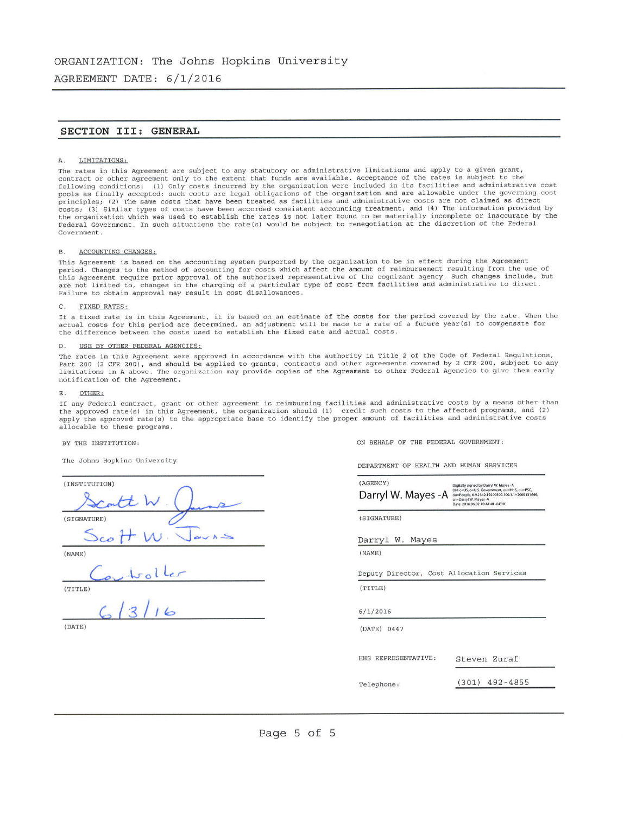**AGREEMENT DATE: 6/1/2016**

### **SECTION Ills GENERAL**

#### A. LIMITATIONS:

The rates in this Agreement are subject to any statutory or administrative limitations and apply to a given grant,<br>contract or other agreement only to the extent that funds are available. Acceptance of the rates is subject principles; (2) The same costs that have been treated as facilities and administrative costs are not claimed as direct costs; (3) Similar types of costs have been accorded consistent accounting treatment; and (4) The information provided by the organization which was used to establish the rates is not later found to be materially incomplete or inaccurate by the Federal Government. In such situations the rate(s) would be subject to renegotiation at the discretion of the Federal Government.

#### B. ACCOUNTING CHANGES:

This Agreement is based on the accounting system purported by the organization to be in effect during the Agreement period. Changes to the method of accounting for costs which affect the amount of reimbursement resulting from the use of this Agreement require prior approval of the authorized representative of the cognizant agency. Such changes include, but are not limited to, changes in the charging of <sup>a</sup> particular type of cost from facilities and administrative to direct. Failure to obtain approval may result in cost disallowances.

#### C. FIXED RATES:

If <sup>a</sup> fixed rate is in this Agreement, it is based on an estimate of the costs for the period covered by the rate. When the actual costs for this period are determined, an adjustment will be made to <sup>a</sup> rate of <sup>a</sup> future year(s) to compensate for the difference between the costs used to establish the fixed rate and actual costs.

#### D. USE BY OTHER FEDERAL AGENCIES:

The rates in this Agreement were approved in accordance with the authority in Title <sup>2</sup> of the Code of Federal Regulations, Part <sup>200</sup> (<sup>2</sup> CFR 200), and should be applied to grants, contracts and other agreements covered by <sup>2</sup> CFR <sup>200</sup>, subject to any limitations in <sup>A</sup> above. The organization may provide copies of the Agreement to other Federal Agencies to give them early notification of the Agreement.

#### E. OTHER:

If any Federal contract, grant or other agreement is reimbursing facilities and administrative costs by a means other than<br>the approved rate(s) in this Agreement, the organization should (1) credit such costs to the affec apply the approved rate(s) to the appropriate base to identify the proper amount of facilities and administrative costs allocable to these programs.

BY THE INSTITUTION:

The Johns Hopkins University

| (INSTITUTION) |             |
|---------------|-------------|
|               | tt W        |
| (SIGNATURE)   |             |
|               | $S_{co}H$ W |
| (NAME)        |             |
|               | ,tolter     |
| (TITLE)       |             |
|               | (13116      |
| (DATE)        |             |

ON BEHALF OF THE FEDERAL GOVERNMENT:

DEPARTMENT OF HEALTH AND HUMAN SERVICES

| (AGENCY)<br>Darryl W. Mayes - A           | Digitally signed by Darryl W. Mayes - A<br>DN: c=US, o=U.S. Government, ou=HHS, ou=PSC,<br>ou=People, 0.9.2342.19200300.100.1.1=2000131669,<br>cn=Darryl W. Mayes -A<br>Date: 2016.06.02 10:44:48 -04'00" |
|-------------------------------------------|-----------------------------------------------------------------------------------------------------------------------------------------------------------------------------------------------------------|
| (SIGNATURE)                               |                                                                                                                                                                                                           |
| Darryl W. Mayes                           |                                                                                                                                                                                                           |
| (NAME)                                    |                                                                                                                                                                                                           |
| Deputy Director, Cost Allocation Services |                                                                                                                                                                                                           |
| (TITLE)                                   |                                                                                                                                                                                                           |
| 6/1/2016                                  |                                                                                                                                                                                                           |
| (DATE) 0447                               |                                                                                                                                                                                                           |
|                                           |                                                                                                                                                                                                           |
| HHS REPRESENTATIVE:                       | Steven Zuraf                                                                                                                                                                                              |
| Telephone:                                | $(301)$ 492-4855                                                                                                                                                                                          |
|                                           |                                                                                                                                                                                                           |